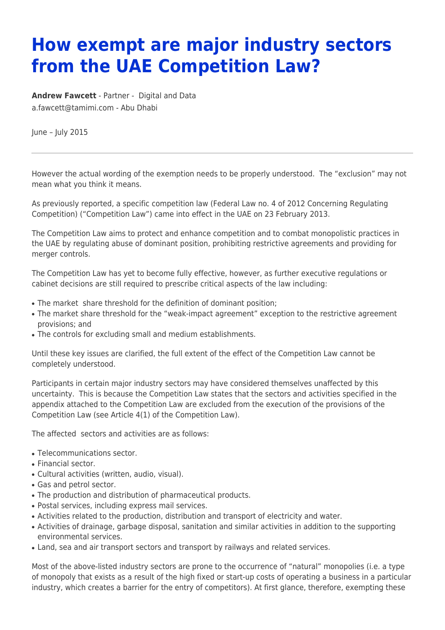## **How exempt are major industry sectors from the UAE Competition Law?**

**[Andrew Fawcett](https://www.tamimi.com/find-a-lawyer/andrew-fawcett/)** - Partner - [Digital and Data](https://www.tamimi.com/client-services/practices/digital-data/) [a.fawcett@tamimi.com](mailto:a.fawcett@tamimi.com) - [Abu Dhabi](https://www.tamimi.com/locations/uae/)

June – July 2015

However the actual wording of the exemption needs to be properly understood. The "exclusion" may not mean what you think it means.

As previously reported, a specific competition law (Federal Law no. 4 of 2012 Concerning Regulating Competition) ("Competition Law") came into effect in the UAE on 23 February 2013.

The Competition Law aims to protect and enhance competition and to combat monopolistic practices in the UAE by regulating abuse of dominant position, prohibiting restrictive agreements and providing for merger controls.

The Competition Law has yet to become fully effective, however, as further executive regulations or cabinet decisions are still required to prescribe critical aspects of the law including:

- The market share threshold for the definition of dominant position:
- The market share threshold for the "weak-impact agreement" exception to the restrictive agreement provisions; and
- The controls for excluding small and medium establishments.

Until these key issues are clarified, the full extent of the effect of the Competition Law cannot be completely understood.

Participants in certain major industry sectors may have considered themselves unaffected by this uncertainty. This is because the Competition Law states that the sectors and activities specified in the appendix attached to the Competition Law are excluded from the execution of the provisions of the Competition Law (see Article 4(1) of the Competition Law).

The affected sectors and activities are as follows:

- Telecommunications sector.
- Financial sector.
- Cultural activities (written, audio, visual).
- Gas and petrol sector.
- The production and distribution of pharmaceutical products.
- Postal services, including express mail services.
- Activities related to the production, distribution and transport of electricity and water.
- Activities of drainage, garbage disposal, sanitation and similar activities in addition to the supporting environmental services.
- Land, sea and air transport sectors and transport by railways and related services.

Most of the above-listed industry sectors are prone to the occurrence of "natural" monopolies (i.e. a type of monopoly that exists as a result of the high fixed or start-up costs of operating a business in a particular industry, which creates a barrier for the entry of competitors). At first glance, therefore, exempting these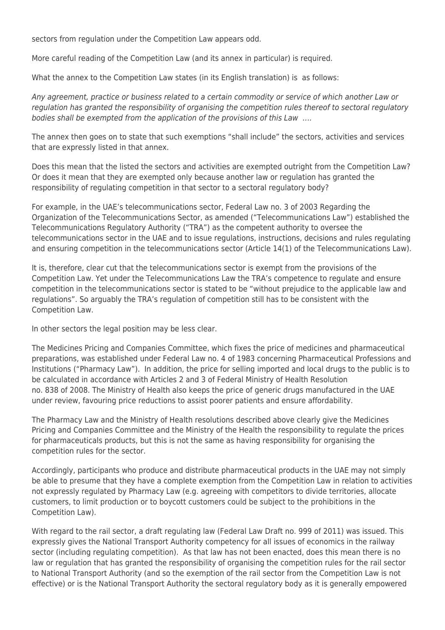sectors from regulation under the Competition Law appears odd.

More careful reading of the Competition Law (and its annex in particular) is required.

What the annex to the Competition Law states (in its English translation) is as follows:

Any agreement, practice or business related to a certain commodity or service of which another Law or regulation has granted the responsibility of organising the competition rules thereof to sectoral regulatory bodies shall be exempted from the application of the provisions of this Law ….

The annex then goes on to state that such exemptions "shall include" the sectors, activities and services that are expressly listed in that annex.

Does this mean that the listed the sectors and activities are exempted outright from the Competition Law? Or does it mean that they are exempted only because another law or regulation has granted the responsibility of regulating competition in that sector to a sectoral regulatory body?

For example, in the UAE's telecommunications sector, Federal Law no. 3 of 2003 Regarding the Organization of the Telecommunications Sector, as amended ("Telecommunications Law") established the Telecommunications Regulatory Authority ("TRA") as the competent authority to oversee the telecommunications sector in the UAE and to issue regulations, instructions, decisions and rules regulating and ensuring competition in the telecommunications sector (Article 14(1) of the Telecommunications Law).

It is, therefore, clear cut that the telecommunications sector is exempt from the provisions of the Competition Law. Yet under the Telecommunications Law the TRA's competence to regulate and ensure competition in the telecommunications sector is stated to be "without prejudice to the applicable law and regulations". So arguably the TRA's regulation of competition still has to be consistent with the Competition Law.

In other sectors the legal position may be less clear.

The Medicines Pricing and Companies Committee, which fixes the price of medicines and pharmaceutical preparations, was established under Federal Law no. 4 of 1983 concerning Pharmaceutical Professions and Institutions ("Pharmacy Law"). In addition, the price for selling imported and local drugs to the public is to be calculated in accordance with Articles 2 and 3 of Federal Ministry of Health Resolution no. 838 of 2008. The Ministry of Health also keeps the price of generic drugs manufactured in the UAE under review, favouring price reductions to assist poorer patients and ensure affordability.

The Pharmacy Law and the Ministry of Health resolutions described above clearly give the Medicines Pricing and Companies Committee and the Ministry of the Health the responsibility to regulate the prices for pharmaceuticals products, but this is not the same as having responsibility for organising the competition rules for the sector.

Accordingly, participants who produce and distribute pharmaceutical products in the UAE may not simply be able to presume that they have a complete exemption from the Competition Law in relation to activities not expressly regulated by Pharmacy Law (e.g. agreeing with competitors to divide territories, allocate customers, to limit production or to boycott customers could be subject to the prohibitions in the Competition Law).

With regard to the rail sector, a draft regulating law (Federal Law Draft no. 999 of 2011) was issued. This expressly gives the National Transport Authority competency for all issues of economics in the railway sector (including regulating competition). As that law has not been enacted, does this mean there is no law or regulation that has granted the responsibility of organising the competition rules for the rail sector to National Transport Authority (and so the exemption of the rail sector from the Competition Law is not effective) or is the National Transport Authority the sectoral regulatory body as it is generally empowered